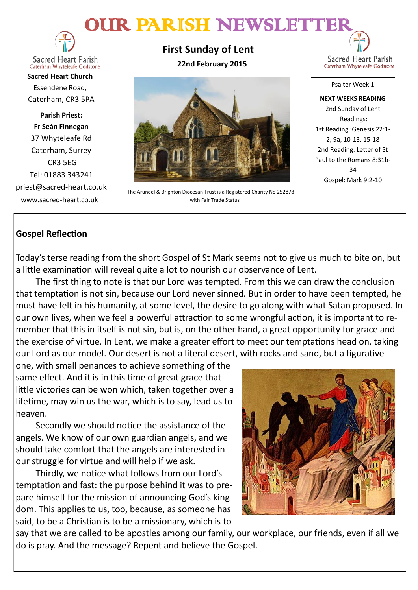# OUR PARISH NEWSLETTER



**Sacred Heart Parish** Caterham Whyteleafe Godstone

**Sacred Heart Church** Essendene Road, Caterham, CR3 5PA

**Parish Priest: Fr Seán Finnegan** 37 Whyteleafe Rd Caterham, Surrey CR3 5EG Tel: 01883 343241 priest@sacred-heart.co.uk www.sacred-heart.co.uk

**First Sunday of Lent 22nd February 2015**



The Arundel & Brighton Diocesan Trust is a Registered Charity No 252878 with Fair Trade Status

Sacred Heart Parish Caterham Whyteleafe Godstone

Psalter Week 1 **NEXT WEEKS READING** 2nd Sunday of Lent Readings: 1st Reading :Genesis 22:1- 2, 9a, 10-13, 15-18 2nd Reading: Letter of St Paul to the Romans 8:31b- $34$ Gospel: Mark 9:2-10

# **Gospel Reflection**

Today's terse reading from the short Gospel of St Mark seems not to give us much to bite on, but a little examination will reveal quite a lot to nourish our observance of Lent.

The first thing to note is that our Lord was tempted. From this we can draw the conclusion that temptation is not sin, because our Lord never sinned. But in order to have been tempted, he must have felt in his humanity, at some level, the desire to go along with what Satan proposed. In our own lives, when we feel a powerful attraction to some wrongful action, it is important to remember that this in itself is not sin, but is, on the other hand, a great opportunity for grace and the exercise of virtue. In Lent, we make a greater effort to meet our temptations head on, taking our Lord as our model. Our desert is not a literal desert, with rocks and sand, but a figurative

one, with small penances to achieve something of the same effect. And it is in this time of great grace that little victories can be won which, taken together over a lifetime, may win us the war, which is to say, lead us to heaven.

Secondly we should notice the assistance of the angels. We know of our own guardian angels, and we should take comfort that the angels are interested in our struggle for virtue and will help if we ask.

Thirdly, we notice what follows from our Lord's temptation and fast: the purpose behind it was to prepare himself for the mission of announcing God's kingdom. This applies to us, too, because, as someone has said, to be a Christian is to be a missionary, which is to



say that we are called to be apostles among our family, our workplace, our friends, even if all we do is pray. And the message? Repent and believe the Gospel.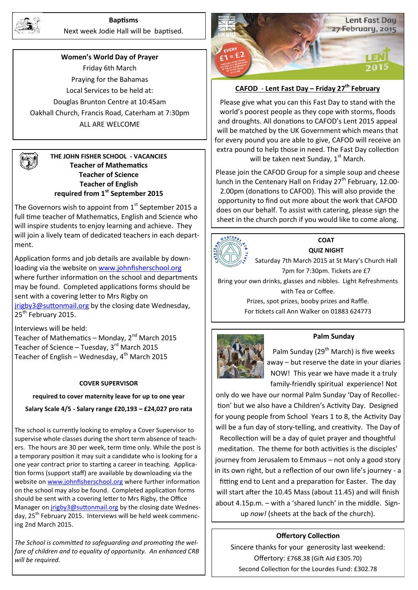

### **Baptisms**

Next week Jodie Hall will be baptised.

**Women's World Day of Prayer** Friday 6th March Praying for the Bahamas Local Services to be held at: Douglas Brunton Centre at 10:45am Oakhall Church, Francis Road, Caterham at 7:30pm ALL ARE WELCOME

### **THE JOHN FISHER SCHOOL - VACANCIES Teacher of Mathematics Teacher of Science Teacher of English required from 1st September 2015**

The Governors wish to appoint from  $1<sup>st</sup>$  September 2015 a full time teacher of Mathematics, English and Science who will inspire students to enjoy learning and achieve. They will join a lively team of dedicated teachers in each department.

Application forms and job details are available by downloading via the website on [www.johnfisherschool.org](http://www.johnfisherschool.org) where further information on the school and departments may be found. Completed applications forms should be sent with a covering letter to Mrs Rigby on [jrigby3@suttonmail.org](mailto:jrigby3@suttonmail.org) by the closing date Wednesday, 25<sup>th</sup> February 2015.

Interviews will be held: Teacher of Mathematics – Monday,  $2^{nd}$  March 2015 Teacher of Science – Tuesday,  $3^{rd}$  March 2015 Teacher of English – Wednesday,  $4<sup>th</sup>$  March 2015

#### **COVER SUPERVISOR**

#### **required to cover maternity leave for up to one year**

**Salary Scale 4/5 - Salary range £20,193 – £24,027 pro rata**

The school is currently looking to employ a Cover Supervisor to supervise whole classes during the short term absence of teachers. The hours are 30 per week, term time only. While the post is a temporary position it may suit a candidate who is looking for a one year contract prior to starting a career in teaching. Application forms (support staff) are available by downloading via the website on [www.johnfisherschool.org](http://www.johnfisherschool.org) where further information on the school may also be found. Completed application forms should be sent with a covering letter to Mrs Rigby, the Office Manager on *[jrigby3@suttonmail.org](mailto:jrigby3@suttonmail.org)* by the closing date Wednesday, 25<sup>th</sup> February 2015. Interviews will be held week commencing 2nd March 2015.

*The School is committed to safeguarding and promoting the welfare of children and to equality of opportunity. An enhanced CRB will be required.*



# **CAFOD** - **Lent Fast Day – Friday 27th February**

Please give what you can this Fast Day to stand with the world's poorest people as they cope with storms, floods and droughts. All donations to CAFOD's Lent 2015 appeal will be matched by the UK Government which means that for every pound you are able to give, CAFOD will receive an extra pound to help those in need. The Fast Day collection will be taken next Sunday,  $1<sup>st</sup>$  March.

Please join the CAFOD Group for a simple soup and cheese lunch in the Centenary Hall on Friday  $27<sup>th</sup>$  February, 12.00-2.00pm (donations to CAFOD). This will also provide the opportunity to find out more about the work that CAFOD does on our behalf. To assist with catering, please sign the sheet in the church porch if you would like to come along.



### **COAT QUIZ NIGHT**

Saturday 7th March 2015 at St Mary's Church Hall 7pm for 7:30pm. Tickets are £7

Bring your own drinks, glasses and nibbles. Light Refreshments with Tea or Coffee.

Prizes, spot prizes, booby prizes and Raffle. For tickets call Ann Walker on 01883 624773



### **Palm Sunday**

Palm Sunday (29<sup>th</sup> March) is five weeks away – but reserve the date in your diaries NOW! This year we have made it a truly family-friendly spiritual experience! Not

only do we have our normal Palm Sunday 'Day of Recollection' but we also have a Children's Activity Day. Designed for young people from School Years 1 to 8, the Activity Day will be a fun day of story-telling, and creativity. The Day of

Recollection will be a day of quiet prayer and thoughtful meditation. The theme for both activities is the disciples' journey from Jerusalem to Emmaus – not only a good story in its own right, but a reflection of our own life's journey - a fitting end to Lent and a preparation for Easter. The day will start after the 10.45 Mass (about 11.45) and will finish about 4.15p.m. – with a 'shared lunch' in the middle. Signup *now!* (sheets at the back of the church).

### **Offertory Collection**

Sincere thanks for your generosity last weekend: Offertory: £768.38 (Gift Aid £305.70) Second Collection for the Lourdes Fund: £302.78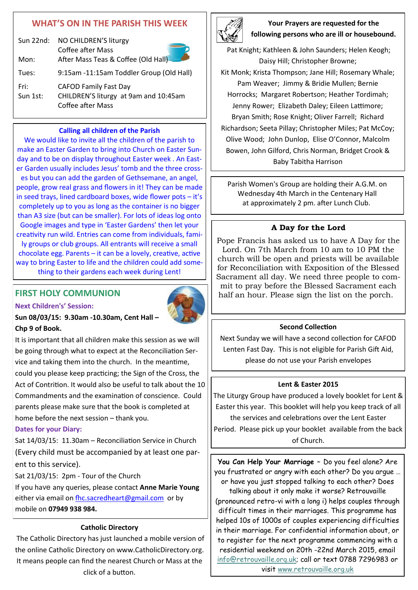# **WHAT'S ON IN THE PARISH THIS WEEK**

|       | Sun 22nd: NO CHILDREN'S liturgy          |
|-------|------------------------------------------|
|       | Coffee after Mass                        |
| Mon:  | After Mass Teas & Coffee (Old Hall)      |
| Tues: | 9:15am -11:15am Toddler Group (Old Hall) |
|       |                                          |

Fri: CAFOD Family Fast Day Sun 1st: CHILDREN'S liturgy at 9am and 10:45am Coffee after Mass

### **Calling all children of the Parish**

We would like to invite all the children of the parish to make an Easter Garden to bring into Church on Easter Sunday and to be on display throughout Easter week . An Easter Garden usually includes Jesus' tomb and the three crosses but you can add the garden of Gethsemane, an angel, people, grow real grass and flowers in it! They can be made in seed trays, lined cardboard boxes, wide flower pots – it's completely up to you as long as the container is no bigger than A3 size (but can be smaller). For lots of ideas log onto Google images and type in 'Easter Gardens' then let your creativity run wild. Entries can come from individuals, family groups or club groups. All entrants will receive a small chocolate egg. Parents – it can be a lovely, creative, active way to bring Easter to life and the children could add something to their gardens each week during Lent!

# **FIRST HOLY COMMUNION**

**Next Children's' Session:** 



### **Sun 08/03/15: 9.30am -10.30am, Cent Hall – Chp 9 of Book.**

It is important that all children make this session as we will be going through what to expect at the Reconciliation Service and taking them into the church. In the meantime, could you please keep practicing; the Sign of the Cross, the Act of Contrition. It would also be useful to talk about the 10 Commandments and the examination of conscience. Could parents please make sure that the book is completed at home before the next session – thank you.

### **Dates for your Diary:**

Sat 14/03/15: 11.30am – Reconciliation Service in Church (Every child must be accompanied by at least one parent to this service).

Sat 21/03/15: 2pm - Tour of the Church

If you have any queries, please contact **Anne Marie Young** either via email on [fhc.sacredheart@gmail.com](mailto:fhc.sacredheart@gmail.com) or by mobile on **07949 938 984.**

### **Catholic Directory**

The Catholic Directory has just launched a mobile version of the online Catholic Directory on www.CatholicDirectory.org. It means people can find the nearest Church or Mass at the click of a button.



**Your Prayers are requested for the following persons who are ill or housebound.** 

Pat Knight; Kathleen & John Saunders; Helen Keogh; Daisy Hill; Christopher Browne; Kit Monk; Krista Thompson; Jane Hill; Rosemary Whale; Pam Weaver; Jimmy & Bridie Mullen; Bernie Horrocks; Margaret Robertson; Heather Tordimah; Jenny Rower; Elizabeth Daley; Eileen Lattimore; Bryan Smith; Rose Knight; Oliver Farrell; Richard Richardson; Seeta Pillay; Christopher Miles; Pat McCoy; Olive Wood; John Dunlop, Elise O'Connor, Malcolm Bowen, John Gilford, Chris Norman, Bridget Crook & Baby Tabitha Harrison

Parish Women's Group are holding their A.G.M. on Wednesday 4th March in the Centenary Hall at approximately 2 pm. after Lunch Club.

### **A Day for the Lord**

Pope Francis has asked us to have A Day for the Lord. On 7th March from 10 am to 10 PM the church will be open and priests will be available for Reconciliation with Exposition of the Blessed Sacrament all day. We need three people to commit to pray before the Blessed Sacrament each half an hour. Please sign the list on the porch.

### **Second Collection**

Next Sunday we will have a second collection for CAFOD Lenten Fast Day. This is not eligible for Parish Gift Aid, please do not use your Parish envelopes

### **Lent & Easter 2015**

The Liturgy Group have produced a lovely booklet for Lent & Easter this year. This booklet will help you keep track of all the services and celebrations over the Lent Easter Period. Please pick up your booklet available from the back of Church.

**You Can Help Your Marriage –** Do you feel alone? Are you frustrated or angry with each other? Do you argue … or have you just stopped talking to each other? Does talking about it only make it worse? Retrouvaille (pronounced retro-vi with a long i) helps couples through difficult times in their marriages. This programme has helped 10s of 1000s of couples experiencing difficulties in their marriage. For confidential information about, or to register for the next programme commencing with a residential weekend on 20th -22nd March 2015, email [info@retrouvaille.org.uk;](mailto:info@retrouvaille.org.uk) call or text 0788 7296983 or visit [www.retrouvaille.org.uk](http://www.retrouvaille.org.uk)